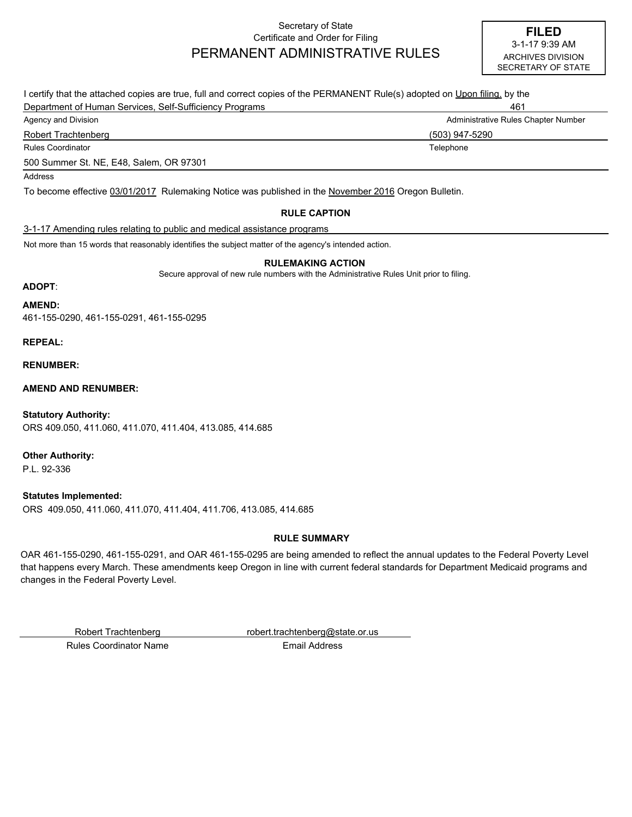#### Secretary of State Certificate and Order for Filing PERMANENT ADMINISTRATIVE RULES

| I certify that the attached copies are true, full and correct copies of the PERMANENT Rule(s) adopted on Upon filing, by the |                                     |  |
|------------------------------------------------------------------------------------------------------------------------------|-------------------------------------|--|
| Department of Human Services, Self-Sufficiency Programs                                                                      | 461                                 |  |
| Agency and Division                                                                                                          | Administrative Rules Chapter Number |  |
| Robert Trachtenberg                                                                                                          | (503) 947-5290                      |  |
| <b>Rules Coordinator</b>                                                                                                     | Telephone                           |  |
| 500 Summer St. NE, E48, Salem, OR 97301                                                                                      |                                     |  |
| Address                                                                                                                      |                                     |  |
| To become effective 03/01/2017 Rulemaking Notice was published in the November 2016 Oregon Bulletin.                         |                                     |  |
| <b>RULE CAPTION</b>                                                                                                          |                                     |  |

#### 3-1-17 Amending rules relating to public and medical assistance programs

Not more than 15 words that reasonably identifies the subject matter of the agency's intended action.

#### **RULEMAKING ACTION**

Secure approval of new rule numbers with the Administrative Rules Unit prior to filing.

#### **ADOPT**:

**AMEND:**

461-155-0290, 461-155-0291, 461-155-0295

**REPEAL:**

**RENUMBER:**

**AMEND AND RENUMBER:**

ORS 409.050, 411.060, 411.070, 411.404, 413.085, 414.685 **Statutory Authority:**

**Other Authority:**

P.L. 92-336

ORS 409.050, 411.060, 411.070, 411.404, 411.706, 413.085, 414.685 **Statutes Implemented:**

#### **RULE SUMMARY**

OAR 461-155-0290, 461-155-0291, and OAR 461-155-0295 are being amended to reflect the annual updates to the Federal Poverty Level that happens every March. These amendments keep Oregon in line with current federal standards for Department Medicaid programs and changes in the Federal Poverty Level.

Robert Trachtenberg robert.trachtenberg@state.or.us

Rules Coordinator Name **Email Address**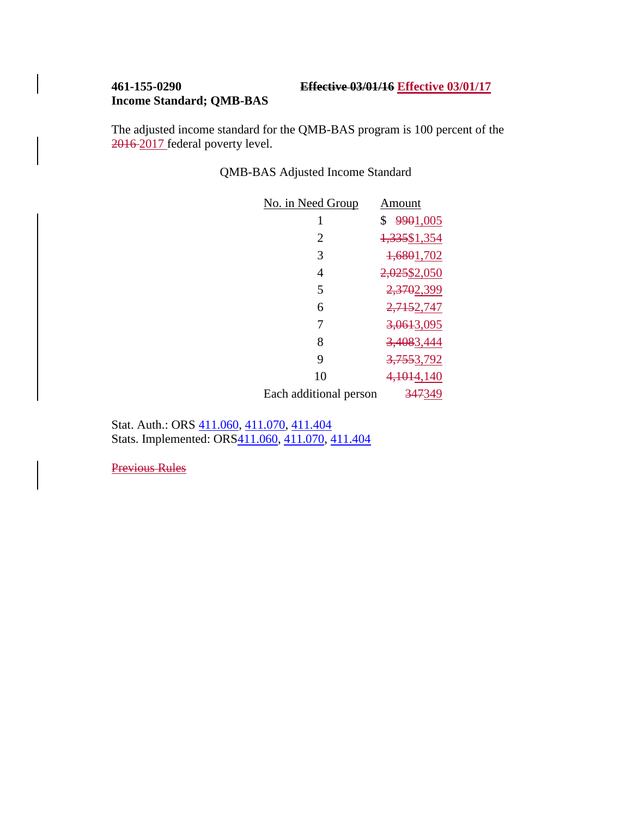## **461-155-0290 Effective 03/01/16 Effective 03/01/17**

## **Income Standard; QMB-BAS**

The adjusted income standard for the QMB-BAS program is 100 percent of the 2016 2017 federal poverty level.

QMB-BAS Adjusted Income Standard

| Amount                 |
|------------------------|
| \$9901,005             |
| 1,335\$1,354           |
| 1,6801,702             |
| 2,025\$2,050           |
| 2,3702,399             |
| 2,7152,747             |
| 3,0613,095             |
| 3,4083,444             |
| <del>3,755</del> 3,792 |
| 4,1014,140             |
| 347349                 |
|                        |

Stat. Auth.: ORS  $411.060$ ,  $411.070$ ,  $411.404$ Stats. Implemented: ORS $\overline{411.060}$ ,  $\overline{411.070}$ ,  $\overline{411.404}$ 

Previous Rules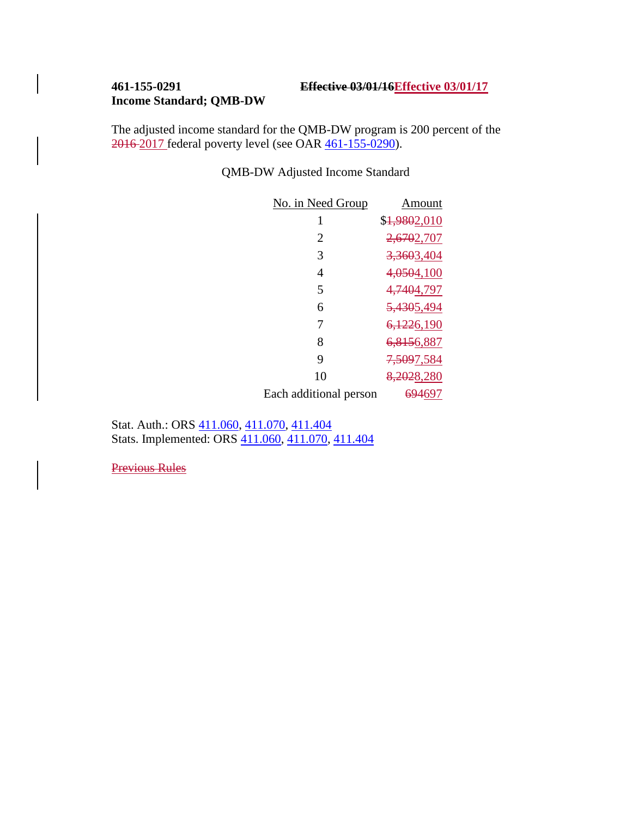# **Income Standard; QMB-DW**

The adjusted income standard for the QMB-DW program is 200 percent of the 2016 2017 federal poverty level (see OAR [461-155-0290\)](http://dhsmanuals.hr.state.or.us/B/461-155-0290.htm).

QMB-DW Adjusted Income Standard

| No. in Need Group      | Amount                    |
|------------------------|---------------------------|
| 1                      | \$ <del>1,980</del> 2,010 |
| 2                      | 2,6702,707                |
| 3                      | 3,3603,404                |
| 4                      | 4,0504,100                |
| 5                      | 4,7404,797                |
| 6                      | 5,4305,494                |
| 7                      | <del>6,122</del> 6,190    |
| 8                      | 6,8156,887                |
| 9                      | <del>7,509</del> 7,584    |
| 10                     | 8,2028,280                |
| Each additional person | <del>694</del> 697        |

Stat. Auth.: ORS [411.060, 411.070, 411.404](https://www.oregonlegislature.gov/bills_laws/ors/ors411.html) Stats. Implemented: ORS [411.060, 411.070, 411.404](https://www.oregonlegislature.gov/bills_laws/ors/ors411.html)

Previous Rules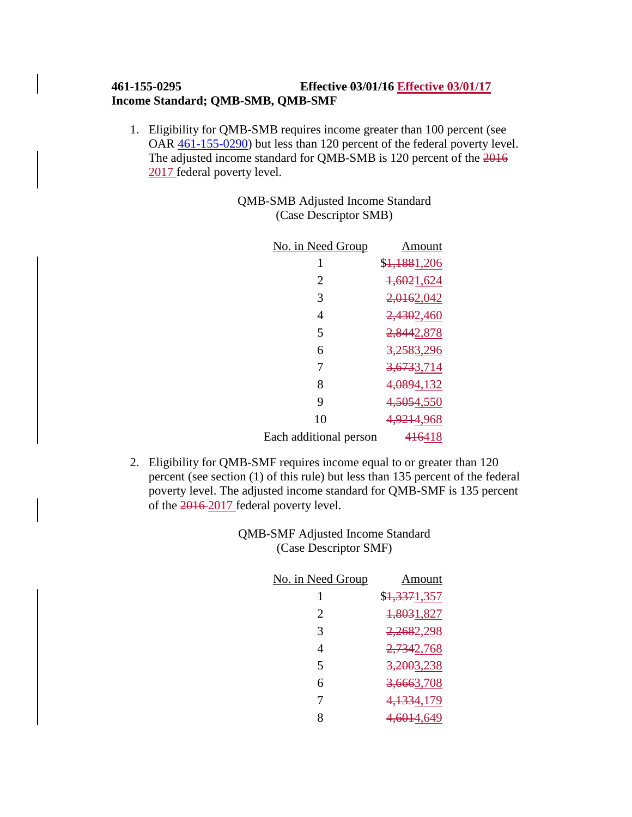### **461-155-0295 Effective 03/01/16 Effective 03/01/17 Income Standard; QMB-SMB, QMB-SMF**

1. Eligibility for QMB-SMB requires income greater than 100 percent (see OAR [461-155-0290\)](http://dhsmanuals.hr.state.or.us/B/461-155-0290.htm) but less than 120 percent of the federal poverty level. The adjusted income standard for QMB-SMB is 120 percent of the 2016 2017 federal poverty level.

> QMB-SMB Adjusted Income Standard (Case Descriptor SMB)

| No. in Need Group      | Amount                    |
|------------------------|---------------------------|
| 1                      | \$ <del>1,188</del> 1,206 |
| 2                      | 1,6021,624                |
| 3                      | 2,0162,042                |
| 4                      | 2,4302,460                |
| 5                      | 2,8442,878                |
| 6                      | 3,2583,296                |
| 7                      | 3,6733,714                |
| 8                      | 4,0894,132                |
| 9                      | 4,5054,550                |
| 10                     | 4,9214,968                |
| Each additional person | 416418                    |

2. Eligibility for QMB-SMF requires income equal to or greater than 120 percent (see section (1) of this rule) but less than 135 percent of the federal poverty level. The adjusted income standard for QMB-SMF is 135 percent of the 2016 2017 federal poverty level.

> QMB-SMF Adjusted Income Standard (Case Descriptor SMF)

| No. in Need Group | Amount                    |
|-------------------|---------------------------|
| 1                 | \$ <del>1,337</del> 1,357 |
| 2                 | 1,8031,827                |
| 3                 | 2,2682,298                |
| 4                 | 2,7342,768                |
| 5                 | 3,2003,238                |
| 6                 | <del>3,666</del> 3,708    |
| 7                 | 4,1334,179                |
| 8                 | 4,6014,649                |